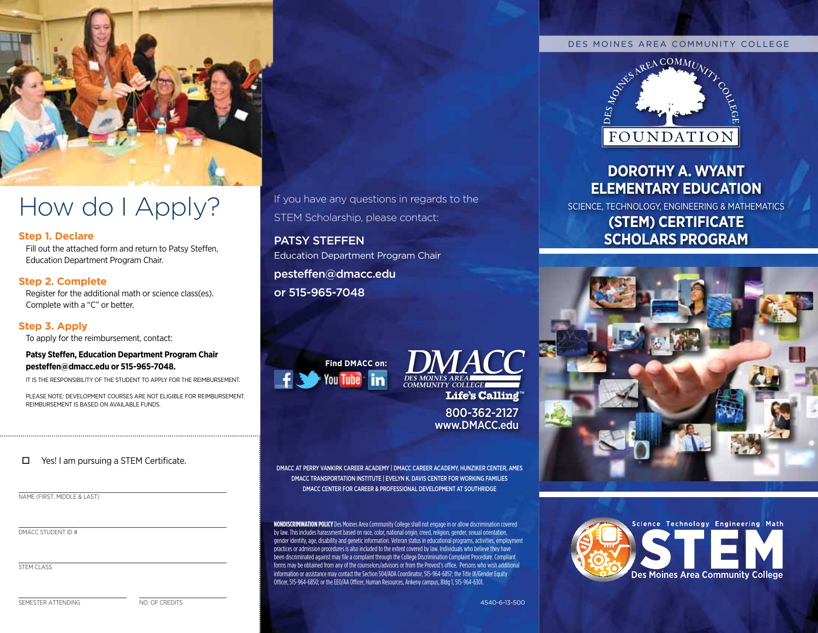

# How do I Apply?

### **Step 1. Declare**

Fill out the attached form and return to Patsy Steffen, Education Department Program Chair.

# **Step 2. Complete**

Register for the additional math or science class(es). complete with a "c" or better.

# **Step 3. Apply**

To apply for the reimbursement, contact:

#### **Patsy Stefen, Education Department Program chair [pestefen@dmacc.edu](mailto:pesteffen@dmacc.edu) or 515-965-7048.**

iT iS The reSPonSibiliTy oF The STuDenT To aPPly For The reiMburSeMenT.

PleaSe noTe: DeveloPMenT courSeS are noT eligible For reiMburSeMenT. reiMburSeMenT iS baSeD on available FunDS.

### $\Box$  Yes! I am pursuing a STEM Certificate.

\_\_\_\_\_\_\_\_\_\_\_\_\_\_\_\_\_\_\_\_\_\_\_\_\_\_\_\_\_\_\_\_\_\_\_\_\_\_\_\_\_\_\_\_\_\_\_\_\_\_

name (first, middle & last)  $\mathcal{L}_\text{max} = \mathcal{L}_\text{max} = \mathcal{L}_\text{max} = \mathcal{L}_\text{max} = \mathcal{L}_\text{max} = \mathcal{L}_\text{max} = \mathcal{L}_\text{max} = \mathcal{L}_\text{max} = \mathcal{L}_\text{max} = \mathcal{L}_\text{max} = \mathcal{L}_\text{max} = \mathcal{L}_\text{max} = \mathcal{L}_\text{max} = \mathcal{L}_\text{max} = \mathcal{L}_\text{max} = \mathcal{L}_\text{max} = \mathcal{L}_\text{max} = \mathcal{L}_\text{max} = \mathcal{$ 

dmacc student id #

STEM CLASS

SEMESTER ATTENDING NO. OF CREDITS

If you have any questions in regards to the STEM Scholarship, please contact:

# PATSY STEFFEN

Education Department Program Chair [pesteffen@dmacc.edu](mailto:pesteffen@dmacc.edu) or 515-965-7048





800-362-2127 www.DMACC.edu

DMACC AT PERRY VANKIRK CAREER ACADEMY | DMACC CAREER ACADEMY, HUNZIKER CENTER, AMES DMACC TRANSPORTATION INSTITUTE | EVELYN K. DAVIS CENTER FOR WORKING FAMILIES DMACC CENTER FOR CAREER & PROFESSIONAL DEVELOPMENT AT SOUTHRIDGE

**NONDISCRIMINATION POLICY** Des Moines Area Community College shall not engage in or allow discrimination covered by law. This includes harassment based on race, color, national origin, creed, religion, gender, sexual orientation, gender identity, age, disability and genetic information. Veteran status in educational programs, activities, employment practices or admission procedures is also included to the extent covered by law. Individuals who believe they have been discriminated against may file a complaint through the College Discrimination Complaint Procedure. Compliant forms may be obtained from any of the counselors/advisors or from the Provost's office. Persons who wish additional information or assistance may contact the Section 504/ADA Coordinator, 515-964-6857; the Title IX/Gender Equity Officer, 515-964-6850; or the EEO/AA Officer, Human Resources, Ankeny campus, Bldg 1, 515-964-6301.



# **Dorothy A. WyAnt ElEmEntAry EDucAtion**

Science, Technology, engineering & MaTheMaTicS **(StEm) cErtificAtE ScholArS ProgrAm**